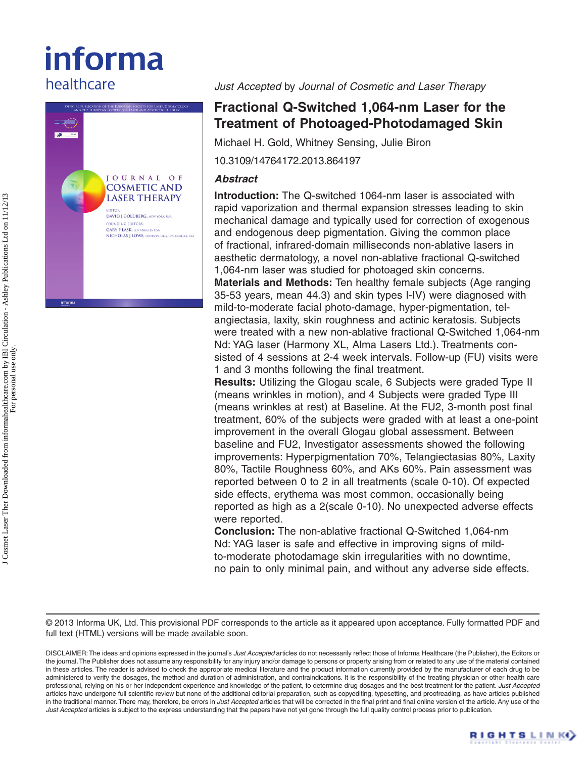# informa healthcare



*Just Accepted* by *Journal of Cosmetic and Laser Therapy*

# **Fractional Q-Switched 1,064-nm Laser for the Treatment of Photoaged-Photodamaged Skin**

Michael H. Gold, Whitney Sensing, Julie Biron

10.3109/14764172.2013.864197

# *Abstract*

**Introduction:** The Q-switched 1064-nm laser is associated with rapid vaporization and thermal expansion stresses leading to skin mechanical damage and typically used for correction of exogenous and endogenous deep pigmentation. Giving the common place of fractional, infrared-domain milliseconds non-ablative lasers in aesthetic dermatology, a novel non-ablative fractional Q-switched 1,064-nm laser was studied for photoaged skin concerns.

**Materials and Methods:** Ten healthy female subjects (Age ranging 35-53 years, mean 44.3) and skin types I-IV) were diagnosed with mild-to-moderate facial photo-damage, hyper-pigmentation, telangiectasia, laxity, skin roughness and actinic keratosis. Subjects were treated with a new non-ablative fractional Q-Switched 1,064-nm Nd: YAG laser (Harmony XL, Alma Lasers Ltd.). Treatments consisted of 4 sessions at 2-4 week intervals. Follow-up (FU) visits were 1 and 3 months following the final treatment.

**Results:** Utilizing the Glogau scale, 6 Subjects were graded Type II (means wrinkles in motion), and 4 Subjects were graded Type III (means wrinkles at rest) at Baseline. At the FU2, 3-month post final treatment, 60% of the subjects were graded with at least a one-point improvement in the overall Glogau global assessment. Between baseline and FU2, Investigator assessments showed the following improvements: Hyperpigmentation 70%, Telangiectasias 80%, Laxity 80%, Tactile Roughness 60%, and AKs 60%. Pain assessment was reported between 0 to 2 in all treatments (scale 0-10). Of expected side effects, erythema was most common, occasionally being reported as high as a 2(scale 0-10). No unexpected adverse effects were reported.

**Conclusion:** The non-ablative fractional Q-Switched 1,064-nm Nd: YAG laser is safe and effective in improving signs of mildto-moderate photodamage skin irregularities with no downtime, no pain to only minimal pain, and without any adverse side effects.

© 2013 Informa UK, Ltd. This provisional PDF corresponds to the article as it appeared upon acceptance. Fully formatted PDF and full text (HTML) versions will be made available soon.

DISCLAIMER: The ideas and opinions expressed in the journal's *Just Accepted* articles do not necessarily reflect those of Informa Healthcare (the Publisher), the Editors or the journal. The Publisher does not assume any responsibility for any injury and/or damage to persons or property arising from or related to any use of the material contained in these articles. The reader is advised to check the appropriate medical literature and the product information currently provided by the manufacturer of each drug to be administered to verify the dosages, the method and duration of administration, and contraindications. It is the responsibility of the treating physician or other health care professional, relying on his or her independent experience and knowledge of the patient, to determine drug dosages and the best treatment for the patient. *Just Accepted* articles have undergone full scientific review but none of the additional editorial preparation, such as copyediting, typesetting, and proofreading, as have articles published in the traditional manner. There may, therefore, be errors in *Just Accepted* articles that will be corrected in the final print and final online version of the article. Any use of the *Just Accepted* articles is subject to the express understanding that the papers have not yet gone through the full quality control process prior to publication.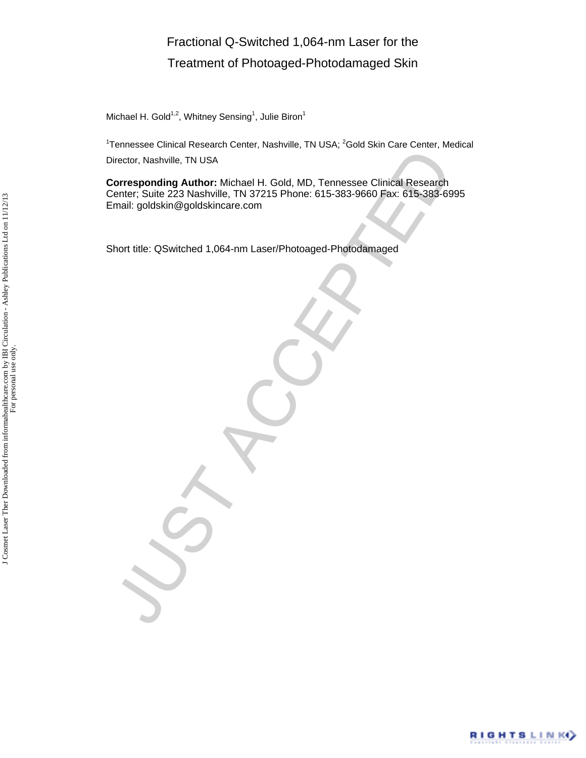# Fractional Q-Switched 1,064-nm Laser for the Treatment of Photoaged-Photodamaged Skin

Michael H. Gold<sup>1,2</sup>, Whitney Sensing<sup>1</sup>, Julie Biron<sup>1</sup>

<sup>1</sup>Tennessee Clinical Research Center, Nashville, TN USA; <sup>2</sup>Gold Skin Care Center, Medical Director, Nashville, TN USA

**Corresponding Author:** Michael H. Gold, MD, Tennessee Clinical Research Center; Suite 223 Nashville, TN 37215 Phone: 615-383-9660 Fax: 615-383-6995 Email: goldskin@goldskincare.com

Short title: QSwitched 1,064-nm Laser/Photoaged-Photodamaged

Piector, Nashville, TN USA<br>
Corresponding Author: Michael H. Gold, MD, Tennessee Clinical Research<br>
Transit: goldskin@goldskincare.com<br>
Infinit: goldskin@goldskincare.com<br>
Abort title: QSwitched 1,064-nm Laser/Photoaged-Ph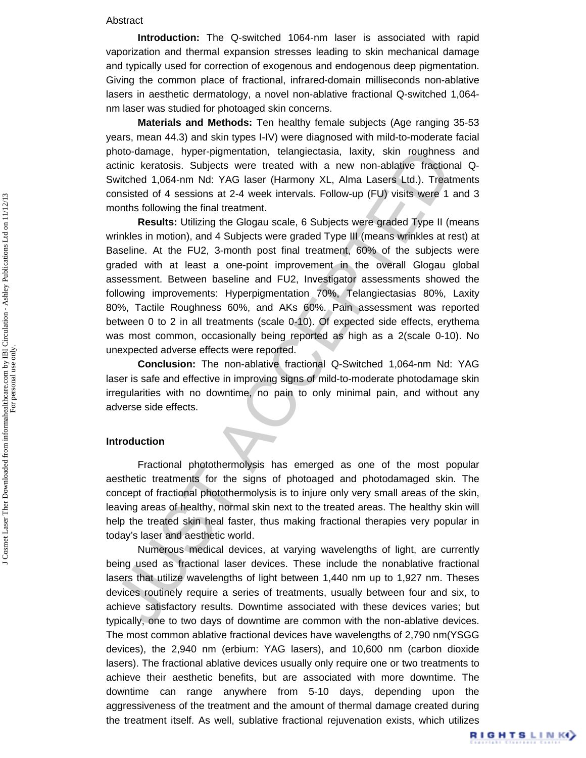#### Abstract

**Introduction:** The Q-switched 1064-nm laser is associated with rapid vaporization and thermal expansion stresses leading to skin mechanical damage and typically used for correction of exogenous and endogenous deep pigmentation. Giving the common place of fractional, infrared-domain milliseconds non-ablative lasers in aesthetic dermatology, a novel non-ablative fractional Q-switched 1,064 nm laser was studied for photoaged skin concerns.

**Materials and Methods:** Ten healthy female subjects (Age ranging 35-53 years, mean 44.3) and skin types I-IV) were diagnosed with mild-to-moderate facial photo-damage, hyper-pigmentation, telangiectasia, laxity, skin roughness and actinic keratosis. Subjects were treated with a new non-ablative fractional Q-Switched 1,064-nm Nd: YAG laser (Harmony XL, Alma Lasers Ltd.). Treatments consisted of 4 sessions at 2-4 week intervals. Follow-up (FU) visits were 1 and 3 months following the final treatment.

hoto-damage, hyper-prigmentation, telangliedzaisa, laxity, skin roughness<br>hotical teratois. Subjects were treated with a new non-ablative fraction-<br>witched 1,064-nm Nd: YAG laser (Harmony XL, Alma Lasers Ltd.). Treat<br>mosts **Results:** Utilizing the Glogau scale, 6 Subjects were graded Type II (means wrinkles in motion), and 4 Subjects were graded Type III (means wrinkles at rest) at Baseline. At the FU2, 3-month post final treatment, 60% of the subjects were graded with at least a one-point improvement in the overall Glogau global assessment. Between baseline and FU2, Investigator assessments showed the following improvements: Hyperpigmentation 70%, Telangiectasias 80%, Laxity 80%, Tactile Roughness 60%, and AKs 60%. Pain assessment was reported between 0 to 2 in all treatments (scale 0-10). Of expected side effects, erythema was most common, occasionally being reported as high as a 2(scale 0-10). No unexpected adverse effects were reported.

**Conclusion:** The non-ablative fractional Q-Switched 1,064-nm Nd: YAG laser is safe and effective in improving signs of mild-to-moderate photodamage skin irregularities with no downtime, no pain to only minimal pain, and without any adverse side effects.

#### **Introduction**

Fractional photothermolysis has emerged as one of the most popular aesthetic treatments for the signs of photoaged and photodamaged skin. The concept of fractional photothermolysis is to injure only very small areas of the skin, leaving areas of healthy, normal skin next to the treated areas. The healthy skin will help the treated skin heal faster, thus making fractional therapies very popular in today's laser and aesthetic world.

Numerous medical devices, at varying wavelengths of light, are currently being used as fractional laser devices. These include the nonablative fractional lasers that utilize wavelengths of light between 1,440 nm up to 1,927 nm. Theses devices routinely require a series of treatments, usually between four and six, to achieve satisfactory results. Downtime associated with these devices varies; but typically, one to two days of downtime are common with the non-ablative devices. The most common ablative fractional devices have wavelengths of 2,790 nm(YSGG devices), the 2,940 nm (erbium: YAG lasers), and 10,600 nm (carbon dioxide lasers). The fractional ablative devices usually only require one or two treatments to achieve their aesthetic benefits, but are associated with more downtime. The downtime can range anywhere from 5-10 days, depending upon the aggressiveness of the treatment and the amount of thermal damage created during the treatment itself. As well, sublative fractional rejuvenation exists, which utilizes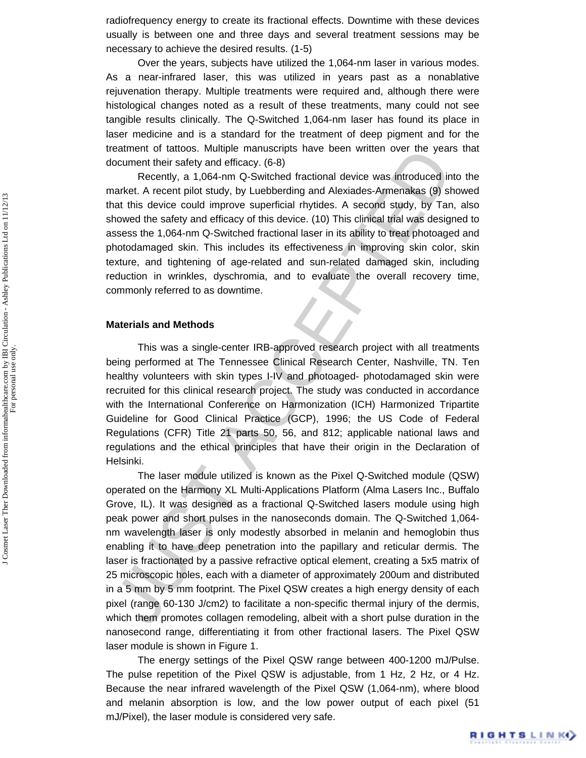radiofrequency energy to create its fractional effects. Downtime with these devices usually is between one and three days and several treatment sessions may be necessary to achieve the desired results. (1-5)

Over the years, subjects have utilized the 1,064-nm laser in various modes. As a near-infrared laser, this was utilized in years past as a nonablative rejuvenation therapy. Multiple treatments were required and, although there were histological changes noted as a result of these treatments, many could not see tangible results clinically. The Q-Switched 1,064-nm laser has found its place in laser medicine and is a standard for the treatment of deep pigment and for the treatment of tattoos. Multiple manuscripts have been written over the years that document their safety and efficacy. (6-8)

Recently, a 1,064-nm Q-Switched fractional device was introduced into the market. A recent pilot study, by Luebberding and Alexiades-Armenakas (9) showed that this device could improve superficial rhytides. A second study, by Tan, also showed the safety and efficacy of this device. (10) This clinical trial was designed to assess the 1,064-nm Q-Switched fractional laser in its ability to treat photoaged and photodamaged skin. This includes its effectiveness in improving skin color, skin texture, and tightening of age-related and sun-related damaged skin, including reduction in wrinkles, dyschromia, and to evaluate the overall recovery time, commonly referred to as downtime.

#### **Materials and Methods**

This was a single-center IRB-approved research project with all treatments being performed at The Tennessee Clinical Research Center, Nashville, TN. Ten healthy volunteers with skin types I-IV and photoaged- photodamaged skin were recruited for this clinical research project. The study was conducted in accordance with the International Conference on Harmonization (ICH) Harmonized Tripartite Guideline for Good Clinical Practice (GCP), 1996; the US Code of Federal Regulations (CFR) Title 21 parts 50, 56, and 812; applicable national laws and regulations and the ethical principles that have their origin in the Declaration of Helsinki.

exament their staty and the matuscripts have been winter to vertile year<br>occurrent their staty and efficacy. (6-8)<br>Recently, a 1,064-nm Q-Switched fractional device was introduced in<br>ancett. A recent pilot study, by Luebbe The laser module utilized is known as the Pixel Q-Switched module (QSW) operated on the Harmony XL Multi-Applications Platform (Alma Lasers Inc., Buffalo Grove, IL). It was designed as a fractional Q-Switched lasers module using high peak power and short pulses in the nanoseconds domain. The Q-Switched 1,064 nm wavelength laser is only modestly absorbed in melanin and hemoglobin thus enabling it to have deep penetration into the papillary and reticular dermis. The laser is fractionated by a passive refractive optical element, creating a 5x5 matrix of 25 microscopic holes, each with a diameter of approximately 200um and distributed in a 5 mm by 5 mm footprint. The Pixel QSW creates a high energy density of each pixel (range 60-130 J/cm2) to facilitate a non-specific thermal injury of the dermis, which them promotes collagen remodeling, albeit with a short pulse duration in the nanosecond range, differentiating it from other fractional lasers. The Pixel QSW laser module is shown in Figure 1.

The energy settings of the Pixel QSW range between 400-1200 mJ/Pulse. The pulse repetition of the Pixel QSW is adjustable, from 1 Hz, 2 Hz, or 4 Hz. Because the near infrared wavelength of the Pixel QSW (1,064-nm), where blood and melanin absorption is low, and the low power output of each pixel (51 mJ/Pixel), the laser module is considered very safe.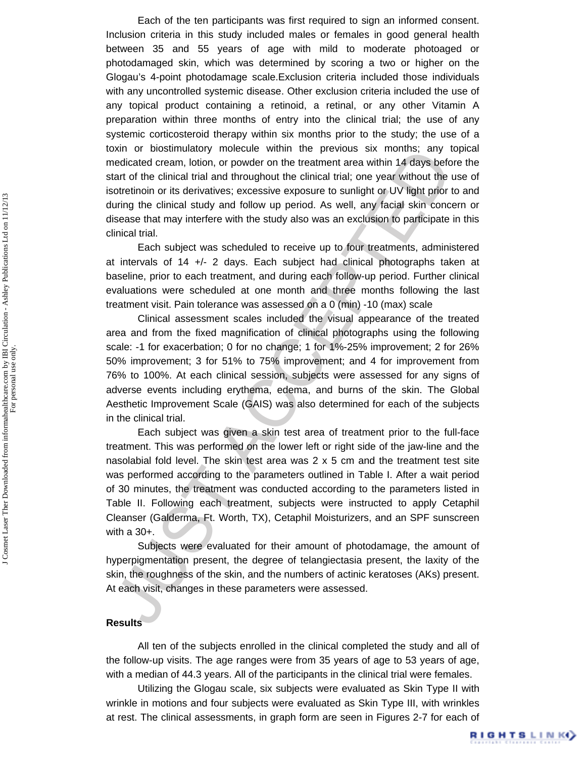Each of the ten participants was first required to sign an informed consent. Inclusion criteria in this study included males or females in good general health between 35 and 55 years of age with mild to moderate photoaged or photodamaged skin, which was determined by scoring a two or higher on the Glogau's 4-point photodamage scale.Exclusion criteria included those individuals with any uncontrolled systemic disease. Other exclusion criteria included the use of any topical product containing a retinoid, a retinal, or any other Vitamin A preparation within three months of entry into the clinical trial; the use of any systemic corticosteroid therapy within six months prior to the study; the use of a toxin or biostimulatory molecule within the previous six months; any topical medicated cream, lotion, or powder on the treatment area within 14 days before the start of the clinical trial and throughout the clinical trial; one year without the use of isotretinoin or its derivatives; excessive exposure to sunlight or UV light prior to and during the clinical study and follow up period. As well, any facial skin concern or disease that may interfere with the study also was an exclusion to participate in this clinical trial.

Each subject was scheduled to receive up to four treatments, administered at intervals of 14 +/- 2 days. Each subject had clinical photographs taken at baseline, prior to each treatment, and during each follow-up period. Further clinical evaluations were scheduled at one month and three months following the last treatment visit. Pain tolerance was assessed on a 0 (min) -10 (max) scale

Distinction of the chiral and throughout within the persons are medicated oream, lotion, or powder on the treatment area within 14 days betard of the clinical trial and throughout the clinical trial; one year without the o Clinical assessment scales included the visual appearance of the treated area and from the fixed magnification of clinical photographs using the following scale: -1 for exacerbation; 0 for no change; 1 for 1%-25% improvement; 2 for 26% 50% improvement; 3 for 51% to 75% improvement; and 4 for improvement from 76% to 100%. At each clinical session, subjects were assessed for any signs of adverse events including erythema, edema, and burns of the skin. The Global Aesthetic Improvement Scale (GAIS) was also determined for each of the subjects in the clinical trial.

Each subject was given a skin test area of treatment prior to the full-face treatment. This was performed on the lower left or right side of the jaw-line and the nasolabial fold level. The skin test area was 2 x 5 cm and the treatment test site was performed according to the parameters outlined in Table I. After a wait period of 30 minutes, the treatment was conducted according to the parameters listed in Table II. Following each treatment, subjects were instructed to apply Cetaphil Cleanser (Galderma, Ft. Worth, TX), Cetaphil Moisturizers, and an SPF sunscreen with a 30+.

Subjects were evaluated for their amount of photodamage, the amount of hyperpigmentation present, the degree of telangiectasia present, the laxity of the skin, the roughness of the skin, and the numbers of actinic keratoses (AKs) present. At each visit, changes in these parameters were assessed.

#### **Results**

All ten of the subjects enrolled in the clinical completed the study and all of the follow-up visits. The age ranges were from 35 years of age to 53 years of age, with a median of 44.3 years. All of the participants in the clinical trial were females.

Utilizing the Glogau scale, six subjects were evaluated as Skin Type II with wrinkle in motions and four subjects were evaluated as Skin Type III, with wrinkles at rest. The clinical assessments, in graph form are seen in Figures 2-7 for each of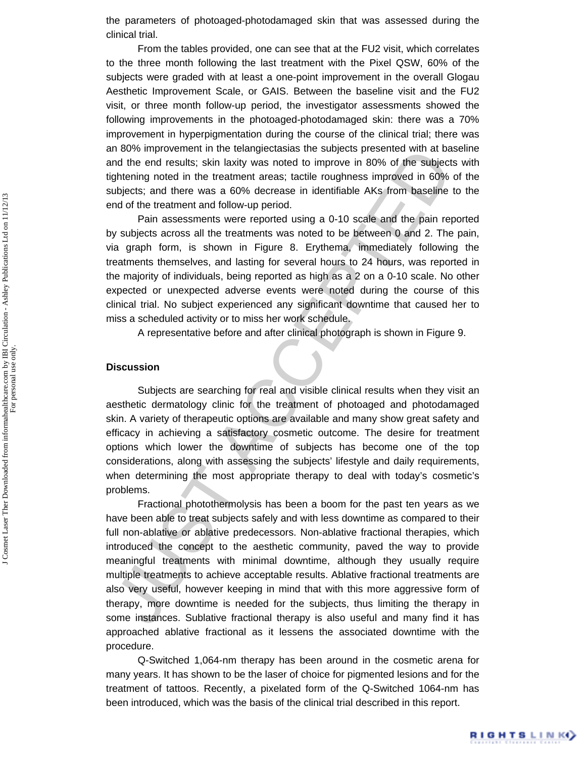the parameters of photoaged-photodamaged skin that was assessed during the clinical trial.

From the tables provided, one can see that at the FU2 visit, which correlates to the three month following the last treatment with the Pixel QSW, 60% of the subjects were graded with at least a one-point improvement in the overall Glogau Aesthetic Improvement Scale, or GAIS. Between the baseline visit and the FU2 visit, or three month follow-up period, the investigator assessments showed the following improvements in the photoaged-photodamaged skin: there was a 70% improvement in hyperpigmentation during the course of the clinical trial; there was an 80% improvement in the telangiectasias the subjects presented with at baseline and the end results; skin laxity was noted to improve in 80% of the subjects with tightening noted in the treatment areas; tactile roughness improved in 60% of the subjects; and there was a 60% decrease in identifiable AKs from baseline to the end of the treatment and follow-up period.

Pain assessments were reported using a 0-10 scale and the pain reported by subjects across all the treatments was noted to be between 0 and 2. The pain, via graph form, is shown in Figure 8. Erythema, immediately following the treatments themselves, and lasting for several hours to 24 hours, was reported in the majority of individuals, being reported as high as a 2 on a 0-10 scale. No other expected or unexpected adverse events were noted during the course of this clinical trial. No subject experienced any significant downtime that caused her to miss a scheduled activity or to miss her work schedule.

A representative before and after clinical photograph is shown in Figure 9.

#### **Discussion**

Subjects are searching for real and visible clinical results when they visit an aesthetic dermatology clinic for the treatment of photoaged and photodamaged skin. A variety of therapeutic options are available and many show great safety and efficacy in achieving a satisfactory cosmetic outcome. The desire for treatment options which lower the downtime of subjects has become one of the top considerations, along with assessing the subjects' lifestyle and daily requirements, when determining the most appropriate therapy to deal with today's cosmetic's problems.

In own inputering this term and entangleduations the subjects presenting to the direct ower that the production and the end results; skin laxity was noted to improve in 80% of the subjects profering noted in the treatment Fractional photothermolysis has been a boom for the past ten years as we have been able to treat subjects safely and with less downtime as compared to their full non-ablative or ablative predecessors. Non-ablative fractional therapies, which introduced the concept to the aesthetic community, paved the way to provide meaningful treatments with minimal downtime, although they usually require multiple treatments to achieve acceptable results. Ablative fractional treatments are also very useful, however keeping in mind that with this more aggressive form of therapy, more downtime is needed for the subjects, thus limiting the therapy in some instances. Sublative fractional therapy is also useful and many find it has approached ablative fractional as it lessens the associated downtime with the procedure.

Q-Switched 1,064-nm therapy has been around in the cosmetic arena for many years. It has shown to be the laser of choice for pigmented lesions and for the treatment of tattoos. Recently, a pixelated form of the Q-Switched 1064-nm has been introduced, which was the basis of the clinical trial described in this report.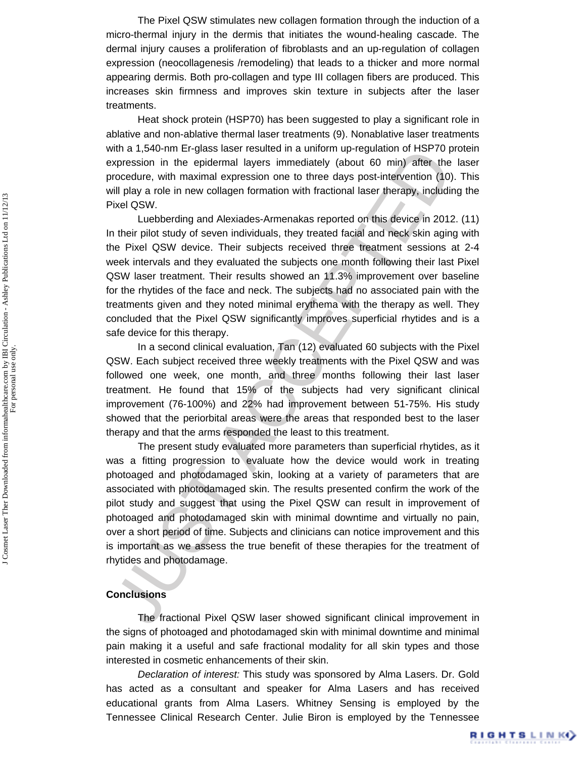The Pixel QSW stimulates new collagen formation through the induction of a micro-thermal injury in the dermis that initiates the wound-healing cascade. The dermal injury causes a proliferation of fibroblasts and an up-regulation of collagen expression (neocollagenesis /remodeling) that leads to a thicker and more normal appearing dermis. Both pro-collagen and type III collagen fibers are produced. This increases skin firmness and improves skin texture in subjects after the laser treatments.

Heat shock protein (HSP70) has been suggested to play a significant role in ablative and non-ablative thermal laser treatments (9). Nonablative laser treatments with a 1,540-nm Er-glass laser resulted in a uniform up-regulation of HSP70 protein expression in the epidermal layers immediately (about 60 min) after the laser procedure, with maximal expression one to three days post-intervention (10). This will play a role in new collagen formation with fractional laser therapy, including the Pixel QSW.

noti a ration in the eigenstate resulted in a unioning up-regulation of matrix and a space and photodamage sixter studies and eigenstation in the eigenber in the original space in mean data to more the consider the conside Luebberding and Alexiades-Armenakas reported on this device in 2012. (11) In their pilot study of seven individuals, they treated facial and neck skin aging with the Pixel QSW device. Their subjects received three treatment sessions at 2-4 week intervals and they evaluated the subjects one month following their last Pixel QSW laser treatment. Their results showed an 11.3% improvement over baseline for the rhytides of the face and neck. The subjects had no associated pain with the treatments given and they noted minimal erythema with the therapy as well. They concluded that the Pixel QSW significantly improves superficial rhytides and is a safe device for this therapy.

In a second clinical evaluation, Tan (12) evaluated 60 subjects with the Pixel QSW. Each subject received three weekly treatments with the Pixel QSW and was followed one week, one month, and three months following their last laser treatment. He found that 15% of the subjects had very significant clinical improvement (76-100%) and 22% had improvement between 51-75%. His study showed that the periorbital areas were the areas that responded best to the laser therapy and that the arms responded the least to this treatment.

The present study evaluated more parameters than superficial rhytides, as it was a fitting progression to evaluate how the device would work in treating photoaged and photodamaged skin, looking at a variety of parameters that are associated with photodamaged skin. The results presented confirm the work of the pilot study and suggest that using the Pixel QSW can result in improvement of photoaged and photodamaged skin with minimal downtime and virtually no pain, over a short period of time. Subjects and clinicians can notice improvement and this is important as we assess the true benefit of these therapies for the treatment of rhytides and photodamage.

#### **Conclusions**

The fractional Pixel QSW laser showed significant clinical improvement in the signs of photoaged and photodamaged skin with minimal downtime and minimal pain making it a useful and safe fractional modality for all skin types and those interested in cosmetic enhancements of their skin.

*Declaration of interest:* This study was sponsored by Alma Lasers. Dr. Gold has acted as a consultant and speaker for Alma Lasers and has received educational grants from Alma Lasers. Whitney Sensing is employed by the Tennessee Clinical Research Center. Julie Biron is employed by the Tennessee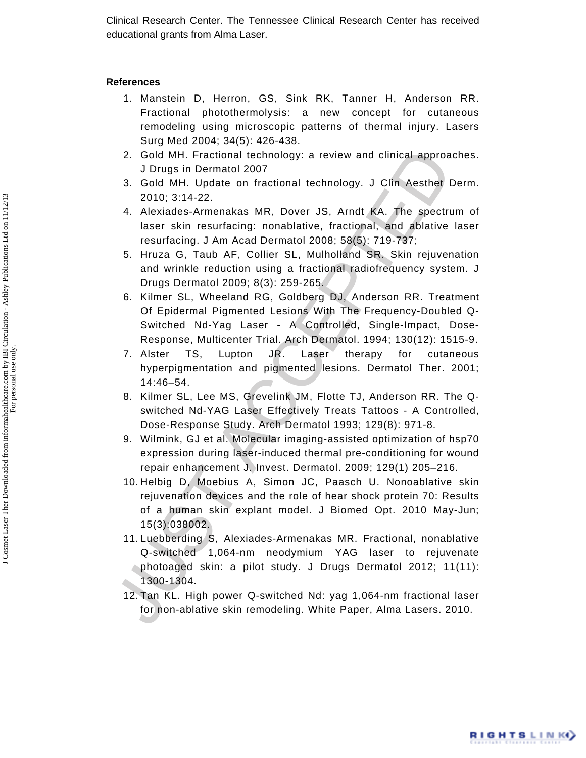Clinical Research Center. The Tennessee Clinical Research Center has received educational grants from Alma Laser.

#### **References**

- 1. Manstein D, Herron, GS, Sink RK, Tanner H, Anderson RR. Fractional photothermolysis: a new concept for cutaneous remodeling using microscopic patterns of thermal injury. Lasers Surg Med 2004; 34(5): 426-438.
- 2. Gold MH. Fractional technology: a review and clinical approaches. J Drugs in Dermatol 2007
- 3. Gold MH. Update on fractional technology. J Clin Aesthet Derm. 2010; 3:14-22.
- 4. Alexiades-Armenakas MR, Dover JS, Arndt KA. The spectrum of laser skin resurfacing: nonablative, fractional, and ablative laser resurfacing. J Am Acad Dermatol 2008; 58(5): 719-737;
- 5. Hruza G, Taub AF, Collier SL, Mulholland SR. Skin rejuvenation and wrinkle reduction using a fractional radiofrequency system. J Drugs Dermatol 2009; 8(3): 259-265.
- 6. Kilmer SL, Wheeland RG, Goldberg DJ, Anderson RR. Treatment Of Epidermal Pigmented Lesions With The Frequency-Doubled Q-Switched Nd-Yag Laser - A Controlled, Single-Impact, Dose-Response, Multicenter Trial. Arch Dermatol. 1994; 130(12): 1515-9.
- 7. Alster TS, Lupton JR. Laser therapy for cutaneous hyperpigmentation and pigmented lesions. Dermatol Ther. 2001; 14:46–54.
- 8. Kilmer SL, Lee MS, Grevelink JM, Flotte TJ, Anderson RR. The Qswitched Nd-YAG Laser Effectively Treats Tattoos - A Controlled, Dose-Response Study. Arch Dermatol 1993; 129(8): 971-8.
- 9. Wilmink, GJ et al. Molecular imaging-assisted optimization of hsp70 expression during laser-induced thermal pre-conditioning for wound repair enhancement J. Invest. Dermatol. 2009; 129(1) 205–216.
- 10. Helbig D, Moebius A, Simon JC, Paasch U. Nonoablative skin rejuvenation devices and the role of hear shock protein 70: Results of a human skin explant model. J Biomed Opt. 2010 May-Jun; 15(3):038002.
- 2. Gold MH. Fractional technology: a review and clinical approa<br>3. Gold MH. Update on fractional technology. J Clin Aesthet 1<br>2010; 3:14-22.<br>4. Mexiades-Armenakas MR, Dover JS, Amdt KA. The spectrulaser skin resurfacing: n 11. Luebberding S, Alexiades-Armenakas MR. Fractional, nonablative Q-switched 1,064-nm neodymium YAG laser to rejuvenate photoaged skin: a pilot study. J Drugs Dermatol 2012; 11(11): 1300-1304.
	- 12. Tan KL. High power Q-switched Nd: yag 1,064-nm fractional laser for non-ablative skin remodeling. White Paper, Alma Lasers. 2010.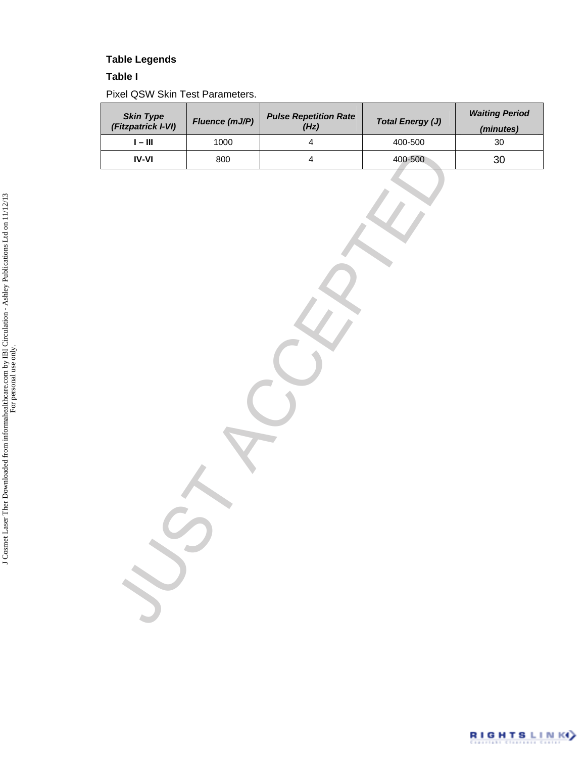# **Table Legends**

#### **Table I**

Pixel QSW Skin Test Parameters.

| <b>Skin Type</b><br>(Fitzpatrick I-VI) | Fluence (mJ/P) | <b>Pulse Repetition Rate</b><br>(Hz) | <b>Total Energy (J)</b> | <b>Waiting Period</b><br>(minutes) |  |
|----------------------------------------|----------------|--------------------------------------|-------------------------|------------------------------------|--|
| $\mathsf{I}-\mathsf{III}$              | 1000           | $\overline{\mathbf{4}}$              | 400-500                 | $30\,$                             |  |
| $\textsf{IV-VI}$                       | 800            | $\overline{\mathbf{4}}$              | 400-500                 | $30\,$                             |  |
|                                        |                |                                      |                         |                                    |  |

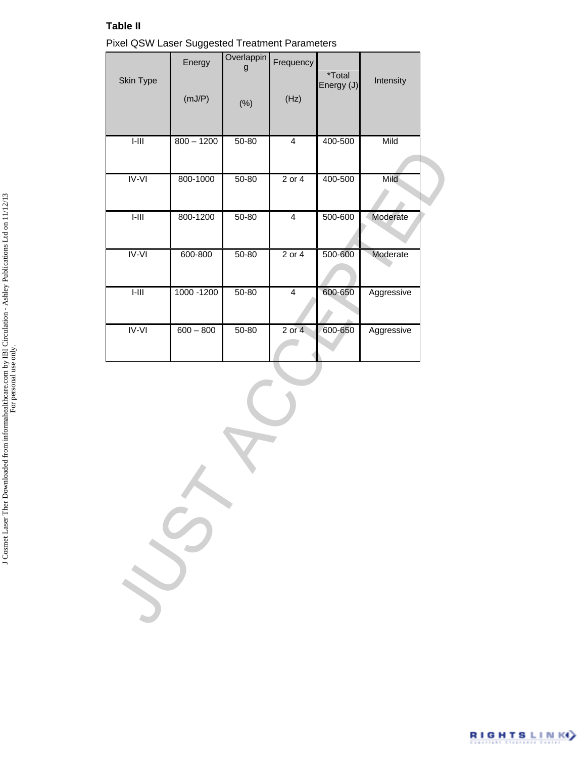#### **Table II**

| Pixel QSW Laser Suggested Treatment Parameters |  |
|------------------------------------------------|--|
|------------------------------------------------|--|

| Skin Type      | Energy<br>(mJ/P) | Overlappin<br>g<br>(% ) | Frequency<br>(Hz)       | <i>*</i> Total<br>Energy (J) | Intensity  |  |
|----------------|------------------|-------------------------|-------------------------|------------------------------|------------|--|
| $I-III$        | $800 - 1200$     |                         | $\overline{4}$          |                              |            |  |
|                |                  | $50 - 80$               |                         | 400-500                      | Mild       |  |
| <b>IV-VI</b>   | 800-1000         | $50 - 80$               | $2$ or $4$              | 400-500                      | Mild       |  |
| $I-III$        | 800-1200         | $50 - 80$               | $\overline{4}$          | 500-600                      | Moderate   |  |
| $IV-VI$        | 600-800          | $50 - 80$               | $2$ or $4$              | 500-600                      | Moderate   |  |
| $\overline{I}$ | 1000 - 1200      | $50 - 80$               | $\overline{\mathbf{4}}$ | 600-650                      | Aggressive |  |
| $IV-VI$        | $600 - 800$      | $50 - 80$               | $2$ or $4$              | 600-650                      | Aggressive |  |
|                |                  |                         |                         |                              |            |  |
|                |                  |                         |                         |                              |            |  |
|                |                  |                         |                         |                              |            |  |
|                |                  |                         |                         |                              |            |  |

J Cosmet Laser Ther Downloaded from informahealthcare.com by IBI Circulation - Ashley Publications Ltd on 11/12/13<br>For personal use only. J Cosmet Laser Ther Downloaded from informahealthcare.com by IBI Circulation - Ashley Publications Ltd on 11/12/13 For personal use only.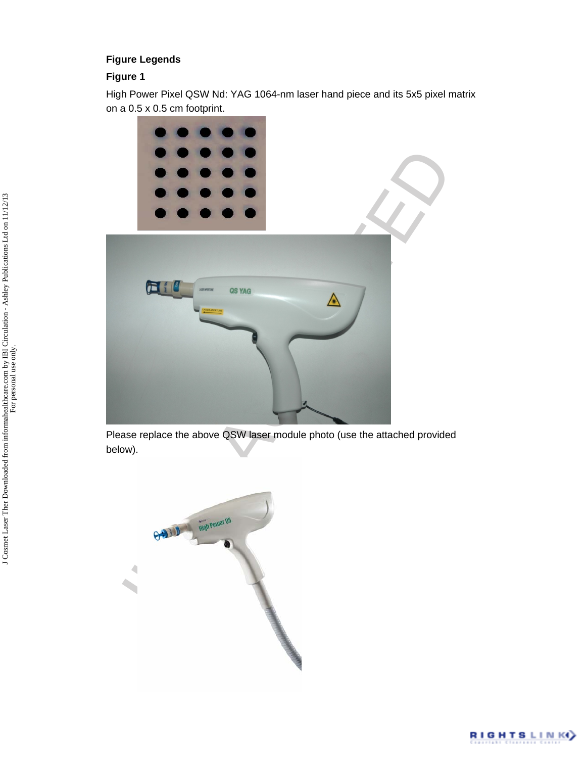#### **Figure Legends**

### **Figure 1**

High Power Pixel QSW Nd: YAG 1064-nm laser hand piece and its 5x5 pixel matrix on a 0.5 x 0.5 cm footprint.



Please replace the above QSW laser module photo (use the attached provided below).



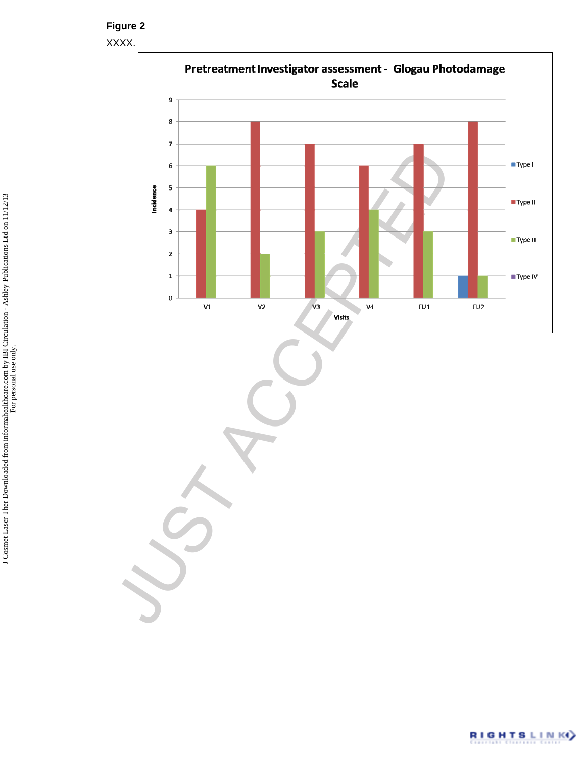XXXX.



JUST ACCEPTED

J Cosmet Laser Ther Downloaded from informahealthcare.com by IBI Circulation - Ashley Publications Ltd on 11/12/13<br>For personal use only. J Cosmet Laser Ther Downloaded from informahealthcare.com by IBI Circulation - Ashley Publications Ltd on 11/12/13 For personal use only.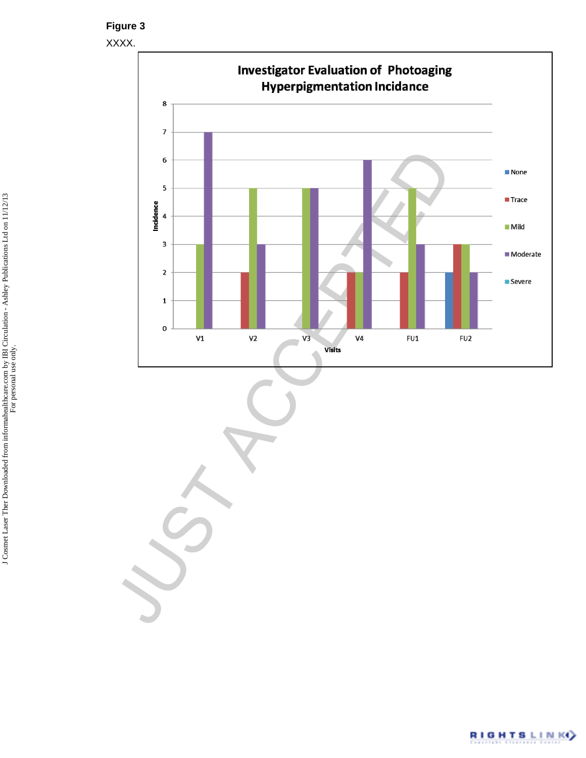XXXX.

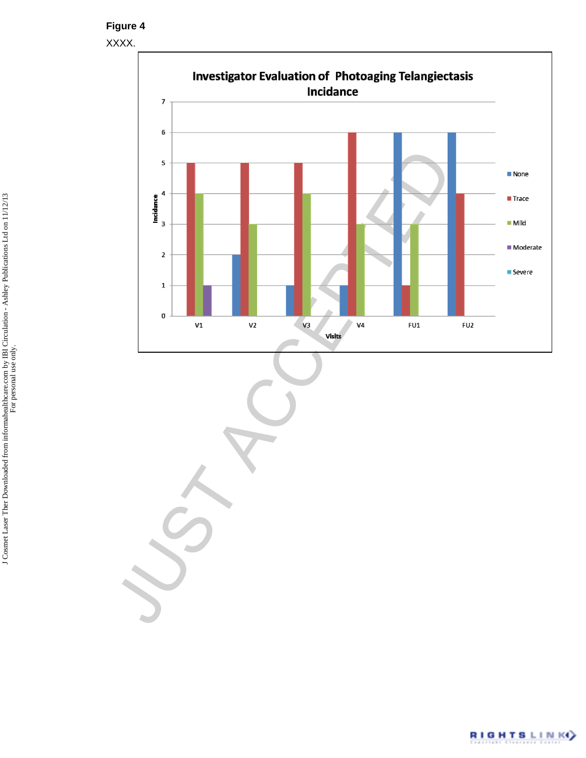XXXX.

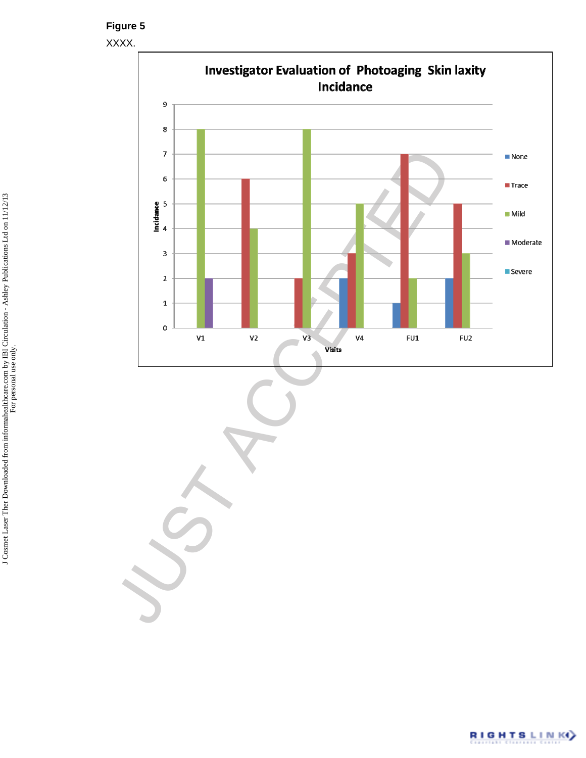XXXX.

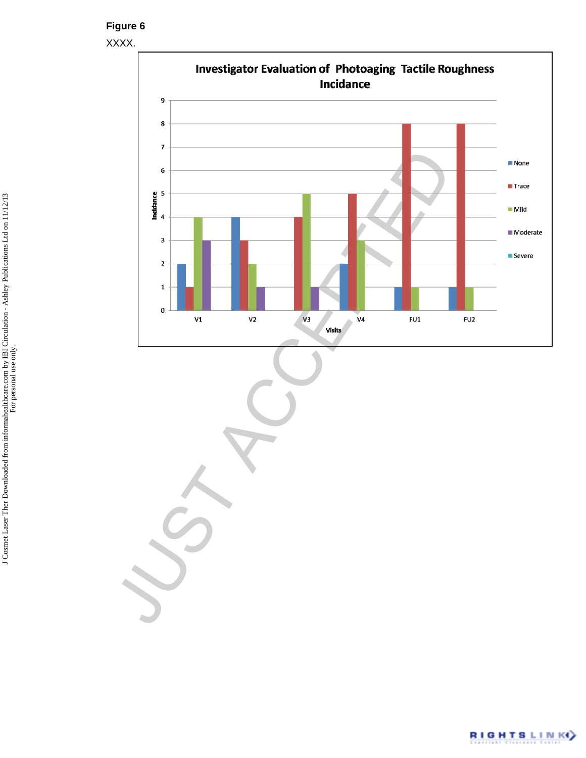XXXX.

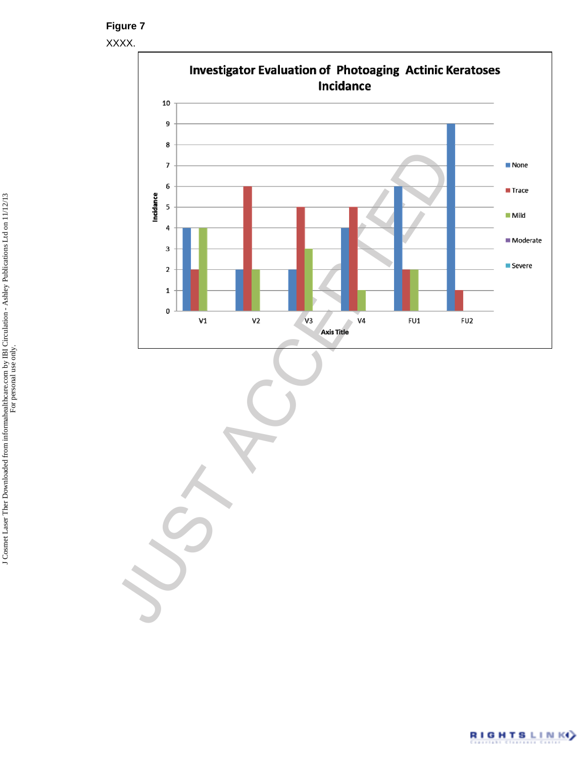XXXX.

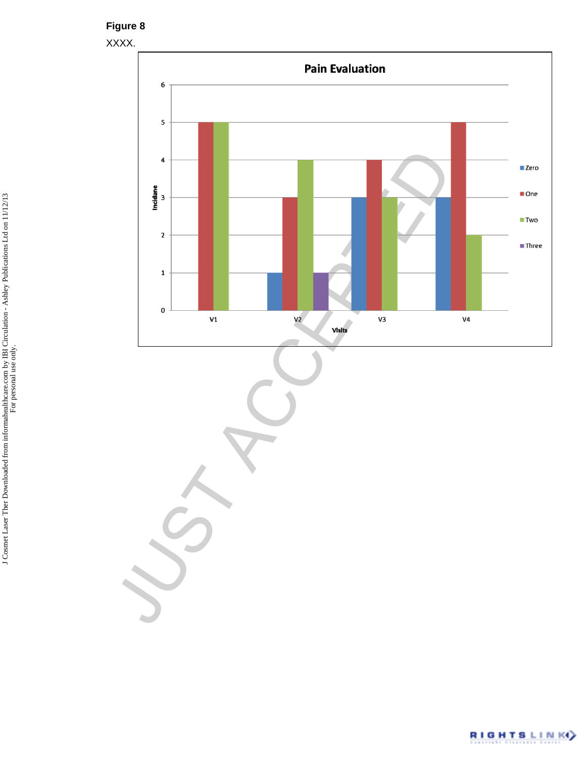



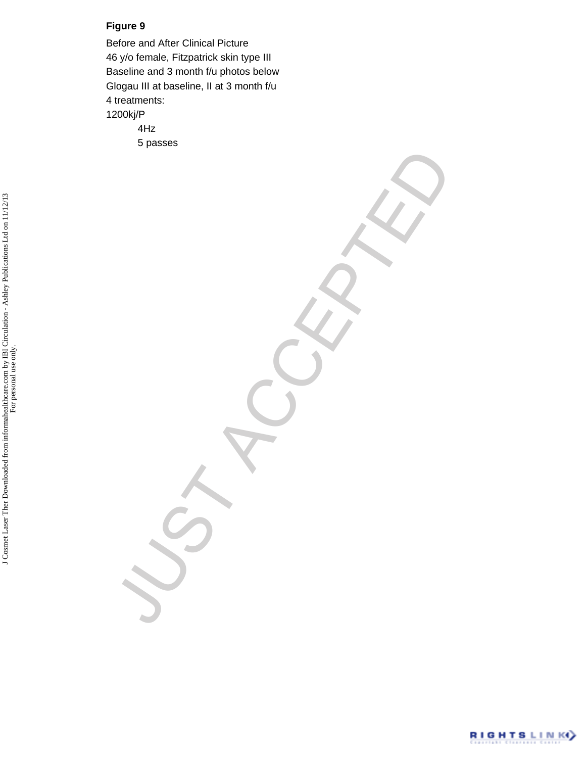Before and After Clinical Picture 46 y/o female, Fitzpatrick skin type III Baseline and 3 month f/u photos below Glogau III at baseline, II at 3 month f/u 4 treatments: 1200kj/P 4Hz 5 passes

VST ACCEPTED

J Cosmet Laser Ther Downloaded from informahealthcare.com by IBI Circulation - Ashley Publications Ltd on 11/12/13<br>For personal use only. J Cosmet Laser Ther Downloaded from informahealthcare.com by IBI Circulation - Ashley Publications Ltd on 11/12/13 For personal use only.